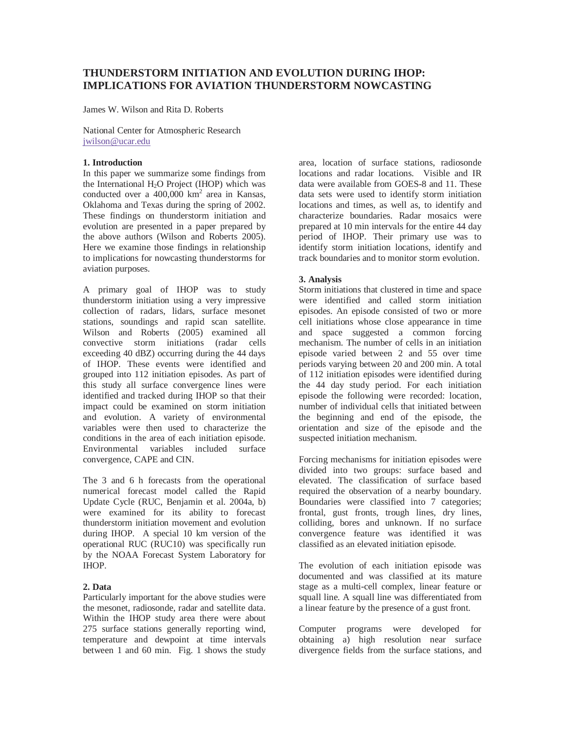# **THUNDERSTORM INITIATION AND EVOLUTION DURING IHOP: IMPLICATIONS FOR AVIATION THUNDERSTORM NOWCASTING**

James W. Wilson and Rita D. Roberts

National Center for Atmospheric Research jwilson@ucar.edu

## **1. Introduction**

In this paper we summarize some findings from the International H<sub>2</sub>O Project (IHOP) which was conducted over a  $400,000$  km<sup>2</sup> area in Kansas, Oklahoma and Texas during the spring of 2002. These findings on thunderstorm initiation and evolution are presented in a paper prepared by the above authors (Wilson and Roberts 2005). Here we examine those findings in relationship to implications for nowcasting thunderstorms for aviation purposes.

A primary goal of IHOP was to study thunderstorm initiation using a very impressive collection of radars, lidars, surface mesonet stations, soundings and rapid scan satellite. Wilson and Roberts (2005) examined all convective storm initiations (radar cells exceeding 40 dBZ) occurring during the 44 days of IHOP. These events were identified and grouped into 112 initiation episodes. As part of this study all surface convergence lines were identified and tracked during IHOP so that their impact could be examined on storm initiation and evolution. A variety of environmental variables were then used to characterize the conditions in the area of each initiation episode. Environmental variables included surface convergence, CAPE and CIN.

The 3 and 6 h forecasts from the operational numerical forecast model called the Rapid Update Cycle (RUC, Benjamin et al. 2004a, b) were examined for its ability to forecast thunderstorm initiation movement and evolution during IHOP. A special 10 km version of the operational RUC (RUC10) was specifically run by the NOAA Forecast System Laboratory for IHOP.

## **2. Data**

Particularly important for the above studies were the mesonet, radiosonde, radar and satellite data. Within the IHOP study area there were about 275 surface stations generally reporting wind, temperature and dewpoint at time intervals between 1 and 60 min. Fig. 1 shows the study

area, location of surface stations, radiosonde locations and radar locations. Visible and IR data were available from GOES-8 and 11. These data sets were used to identify storm initiation locations and times, as well as, to identify and characterize boundaries. Radar mosaics were prepared at 10 min intervals for the entire 44 day period of IHOP. Their primary use was to identify storm initiation locations, identify and track boundaries and to monitor storm evolution.

### **3. Analysis**

Storm initiations that clustered in time and space were identified and called storm initiation episodes. An episode consisted of two or more cell initiations whose close appearance in time and space suggested a common forcing mechanism. The number of cells in an initiation episode varied between 2 and 55 over time periods varying between 20 and 200 min. A total of 112 initiation episodes were identified during the 44 day study period. For each initiation episode the following were recorded: location, number of individual cells that initiated between the beginning and end of the episode, the orientation and size of the episode and the suspected initiation mechanism.

Forcing mechanisms for initiation episodes were divided into two groups: surface based and elevated. The classification of surface based required the observation of a nearby boundary. Boundaries were classified into 7 categories; frontal, gust fronts, trough lines, dry lines, colliding, bores and unknown. If no surface convergence feature was identified it was classified as an elevated initiation episode.

The evolution of each initiation episode was documented and was classified at its mature stage as a multi-cell complex, linear feature or squall line. A squall line was differentiated from a linear feature by the presence of a gust front.

Computer programs were developed for obtaining a) high resolution near surface divergence fields from the surface stations, and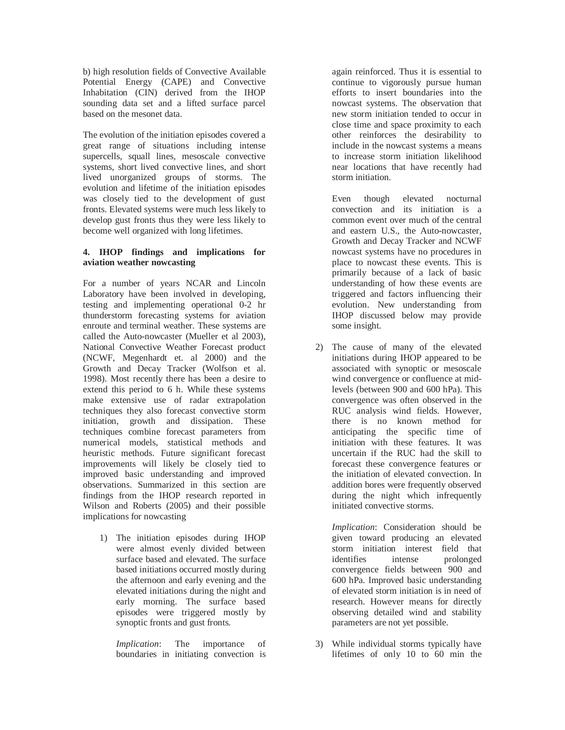b) high resolution fields of Convective Available Potential Energy (CAPE) and Convective Inhabitation (CIN) derived from the IHOP sounding data set and a lifted surface parcel based on the mesonet data.

The evolution of the initiation episodes covered a great range of situations including intense supercells, squall lines, mesoscale convective systems, short lived convective lines, and short lived unorganized groups of storms. The evolution and lifetime of the initiation episodes was closely tied to the development of gust fronts. Elevated systems were much less likely to develop gust fronts thus they were less likely to become well organized with long lifetimes.

### **4. IHOP findings and implications for aviation weather nowcasting**

For a number of years NCAR and Lincoln Laboratory have been involved in developing, testing and implementing operational 0-2 hr thunderstorm forecasting systems for aviation enroute and terminal weather. These systems are called the Auto-nowcaster (Mueller et al 2003), National Convective Weather Forecast product (NCWF, Megenhardt et. al 2000) and the Growth and Decay Tracker (Wolfson et al. 1998). Most recently there has been a desire to extend this period to 6 h. While these systems make extensive use of radar extrapolation techniques they also forecast convective storm initiation, growth and dissipation. These techniques combine forecast parameters from numerical models, statistical methods and heuristic methods. Future significant forecast improvements will likely be closely tied to improved basic understanding and improved observations. Summarized in this section are findings from the IHOP research reported in Wilson and Roberts (2005) and their possible implications for nowcasting

1) The initiation episodes during IHOP were almost evenly divided between surface based and elevated. The surface based initiations occurred mostly during the afternoon and early evening and the elevated initiations during the night and early morning. The surface based episodes were triggered mostly by synoptic fronts and gust fronts.

*Implication*: The importance of boundaries in initiating convection is

again reinforced. Thus it is essential to continue to vigorously pursue human efforts to insert boundaries into the nowcast systems. The observation that new storm initiation tended to occur in close time and space proximity to each other reinforces the desirability to include in the nowcast systems a means to increase storm initiation likelihood near locations that have recently had storm initiation.

Even though elevated nocturnal convection and its initiation is a common event over much of the central and eastern U.S., the Auto-nowcaster, Growth and Decay Tracker and NCWF nowcast systems have no procedures in place to nowcast these events. This is primarily because of a lack of basic understanding of how these events are triggered and factors influencing their evolution. New understanding from IHOP discussed below may provide some insight.

2) The cause of many of the elevated initiations during IHOP appeared to be associated with synoptic or mesoscale wind convergence or confluence at midlevels (between 900 and 600 hPa). This convergence was often observed in the RUC analysis wind fields. However, there is no known method for anticipating the specific time of initiation with these features. It was uncertain if the RUC had the skill to forecast these convergence features or the initiation of elevated convection. In addition bores were frequently observed during the night which infrequently initiated convective storms.

*Implication*: Consideration should be given toward producing an elevated storm initiation interest field that identifies intense prolonged convergence fields between 900 and 600 hPa. Improved basic understanding of elevated storm initiation is in need of research. However means for directly observing detailed wind and stability parameters are not yet possible.

3) While individual storms typically have lifetimes of only 10 to 60 min the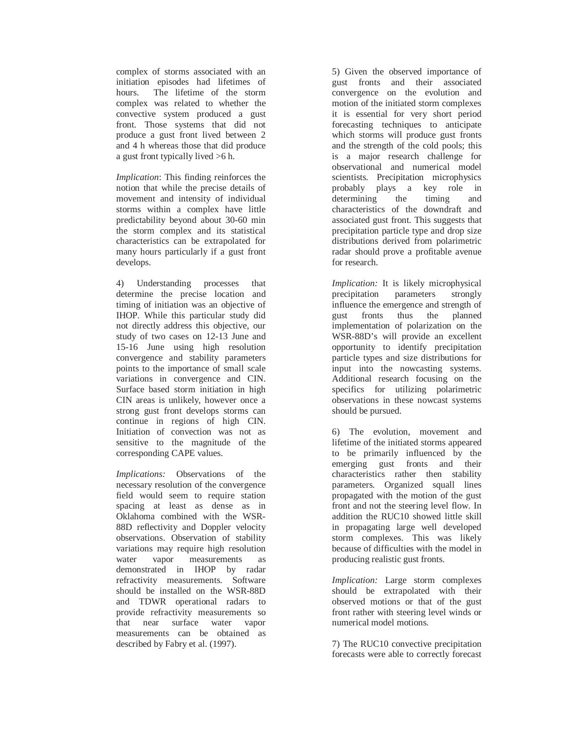complex of storms associated with an initiation episodes had lifetimes of hours. The lifetime of the storm complex was related to whether the convective system produced a gust front. Those systems that did not produce a gust front lived between 2 and 4 h whereas those that did produce a gust front typically lived >6 h.

*Implication*: This finding reinforces the notion that while the precise details of movement and intensity of individual storms within a complex have little predictability beyond about 30-60 min the storm complex and its statistical characteristics can be extrapolated for many hours particularly if a gust front develops.

4) Understanding processes that determine the precise location and timing of initiation was an objective of IHOP. While this particular study did not directly address this objective, our study of two cases on 12-13 June and 15-16 June using high resolution convergence and stability parameters points to the importance of small scale variations in convergence and CIN. Surface based storm initiation in high CIN areas is unlikely, however once a strong gust front develops storms can continue in regions of high CIN. Initiation of convection was not as sensitive to the magnitude of the corresponding CAPE values.

*Implications:* Observations of the necessary resolution of the convergence field would seem to require station spacing at least as dense as in Oklahoma combined with the WSR-88D reflectivity and Doppler velocity observations. Observation of stability variations may require high resolution water vapor measurements as demonstrated in IHOP by radar refractivity measurements. Software should be installed on the WSR-88D and TDWR operational radars to provide refractivity measurements so that near surface water vapor measurements can be obtained as described by Fabry et al. (1997).

5) Given the observed importance of gust fronts and their associated convergence on the evolution and motion of the initiated storm complexes it is essential for very short period forecasting techniques to anticipate which storms will produce gust fronts and the strength of the cold pools; this is a major research challenge for observational and numerical model scientists. Precipitation microphysics probably plays a key role in determining the timing and characteristics of the downdraft and associated gust front. This suggests that precipitation particle type and drop size distributions derived from polarimetric radar should prove a profitable avenue for research.

*Implication:* It is likely microphysical precipitation parameters strongly influence the emergence and strength of gust fronts thus the planned implementation of polarization on the WSR-88D's will provide an excellent opportunity to identify precipitation particle types and size distributions for input into the nowcasting systems. Additional research focusing on the specifics for utilizing polarimetric observations in these nowcast systems should be pursued.

6) The evolution, movement and lifetime of the initiated storms appeared to be primarily influenced by the emerging gust fronts and their characteristics rather then stability parameters. Organized squall lines propagated with the motion of the gust front and not the steering level flow. In addition the RUC10 showed little skill in propagating large well developed storm complexes. This was likely because of difficulties with the model in producing realistic gust fronts.

*Implication:* Large storm complexes should be extrapolated with their observed motions or that of the gust front rather with steering level winds or numerical model motions.

7) The RUC10 convective precipitation forecasts were able to correctly forecast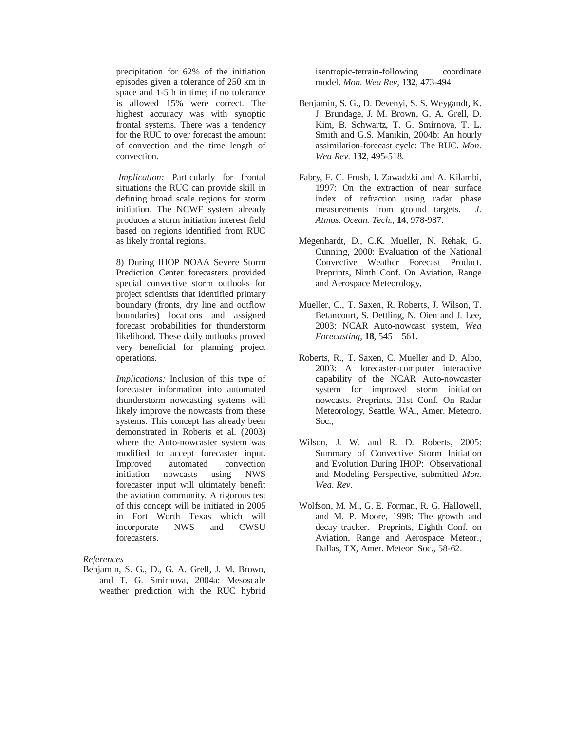precipitation for 62% of the initiation episodes given a tolerance of 250 km in space and 1-5 h in time; if no tolerance is allowed 15% were correct. The highest accuracy was with synoptic frontal systems. There was a tendency for the RUC to over forecast the amount of convection and the time length of convection.

*Implication:* Particularly for frontal situations the RUC can provide skill in defining broad scale regions for storm initiation. The NCWF system already produces a storm initiation interest field based on regions identified from RUC as likely frontal regions.

8) During IHOP NOAA Severe Storm Prediction Center forecasters provided special convective storm outlooks for project scientists that identified primary boundary (fronts, dry line and outflow boundaries) locations and assigned forecast probabilities for thunderstorm likelihood. These daily outlooks proved very beneficial for planning project operations.

*Implications:* Inclusion of this type of forecaster information into automated thunderstorm nowcasting systems will likely improve the nowcasts from these systems. This concept has already been demonstrated in Roberts et al. (2003) where the Auto-nowcaster system was modified to accept forecaster input. Improved automated convection initiation nowcasts using NWS forecaster input will ultimately benefit the aviation community. A rigorous test of this concept will be initiated in 2005 in Fort Worth Texas which will incorporate NWS and CWSU forecasters.

*References* 

Benjamin, S. G., D., G. A. Grell, J. M. Brown, and T. G. Smirnova, 2004a: Mesoscale weather prediction with the RUC hybrid isentropic-terrain-following coordinate model. *Mon. Wea Rev*, **132**, 473-494.

- Benjamin, S. G., D. Devenyi, S. S. Weygandt, K. J. Brundage, J. M. Brown, G. A. Grell, D. Kim, B. Schwartz, T. G. Smirnova, T. L. Smith and G.S. Manikin, 2004b: An hourly assimilation-forecast cycle: The RUC*. Mon. Wea Rev*. **132**, 495-518.
- Fabry, F. C. Frush, I. Zawadzki and A. Kilambi, 1997: On the extraction of near surface index of refraction using radar phase measurements from ground targets. *J. Atmos. Ocean. Tech*., **14**, 978-987.
- Megenhardt, D., C.K. Mueller, N. Rehak, G. Cunning, 2000: Evaluation of the National Convective Weather Forecast Product. Preprints, Ninth Conf. On Aviation, Range and Aerospace Meteorology,
- Mueller, C., T. Saxen, R. Roberts, J. Wilson, T. Betancourt, S. Dettling, N. Oien and J. Lee, 2003: NCAR Auto-nowcast system, *Wea Forecasting*, **18**, 545 – 561.
- Roberts, R., T. Saxen, C. Mueller and D. Albo, 2003: A forecaster-computer interactive capability of the NCAR Auto-nowcaster system for improved storm initiation nowcasts. Preprints, 31st Conf. On Radar Meteorology, Seattle, WA., Amer. Meteoro. Soc.,
- Wilson, J. W. and R. D. Roberts, 2005: Summary of Convective Storm Initiation and Evolution During IHOP: Observational and Modeling Perspective, submitted *Mon. Wea. Rev.*
- Wolfson, M. M., G. E. Forman, R. G. Hallowell, and M. P. Moore, 1998: The growth and decay tracker. Preprints*,* Eighth Conf. on Aviation, Range and Aerospace Meteor., Dallas, TX, Amer. Meteor. Soc., 58-62.